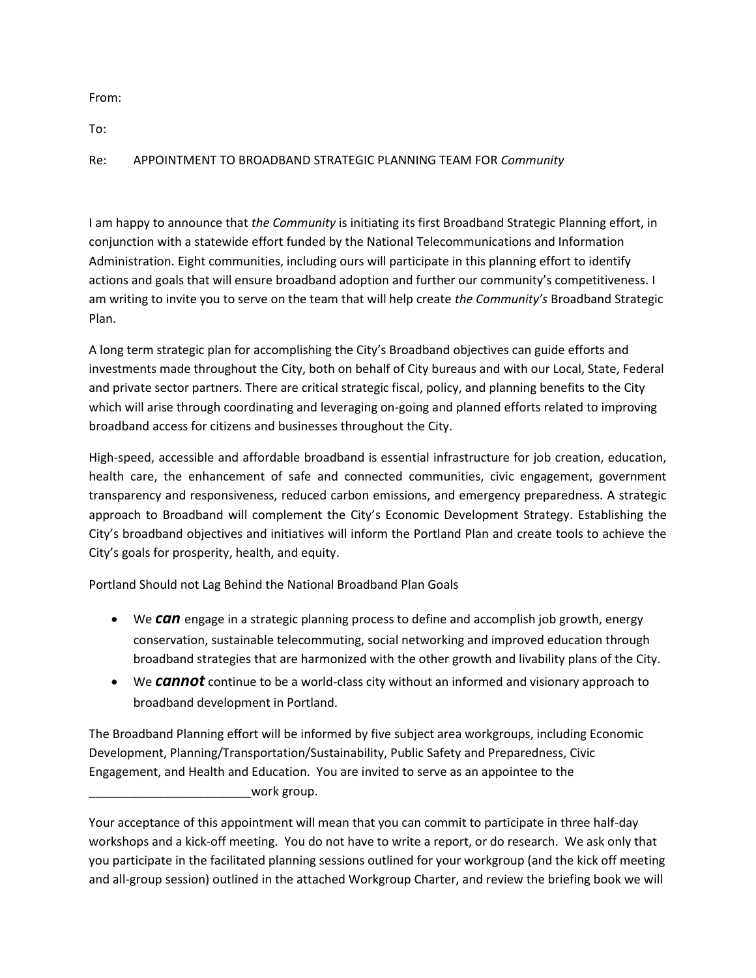From:

To:

Re: APPOINTMENT TO BROADBAND STRATEGIC PLANNING TEAM FOR *Community*

I am happy to announce that *the Community* is initiating its first Broadband Strategic Planning effort, in conjunction with a statewide effort funded by the National Telecommunications and Information Administration. Eight communities, including ours will participate in this planning effort to identify actions and goals that will ensure broadband adoption and further our community's competitiveness. I am writing to invite you to serve on the team that will help create *the Community's* Broadband Strategic Plan.

A long term strategic plan for accomplishing the City's Broadband objectives can guide efforts and investments made throughout the City, both on behalf of City bureaus and with our Local, State, Federal and private sector partners. There are critical strategic fiscal, policy, and planning benefits to the City which will arise through coordinating and leveraging on-going and planned efforts related to improving broadband access for citizens and businesses throughout the City.

High-speed, accessible and affordable broadband is essential infrastructure for job creation, education, health care, the enhancement of safe and connected communities, civic engagement, government transparency and responsiveness, reduced carbon emissions, and emergency preparedness. A strategic approach to Broadband will complement the City's Economic Development Strategy. Establishing the City's broadband objectives and initiatives will inform the Portland Plan and create tools to achieve the City's goals for prosperity, health, and equity.

Portland Should not Lag Behind the National Broadband Plan Goals

- We **can** engage in a strategic planning process to define and accomplish job growth, energy conservation, sustainable telecommuting, social networking and improved education through broadband strategies that are harmonized with the other growth and livability plans of the City.
- We *cannot* continue to be a world-class city without an informed and visionary approach to broadband development in Portland.

The Broadband Planning effort will be informed by five subject area workgroups, including Economic Development, Planning/Transportation/Sustainability, Public Safety and Preparedness, Civic Engagement, and Health and Education. You are invited to serve as an appointee to the  $\_$ work group.

Your acceptance of this appointment will mean that you can commit to participate in three half-day workshops and a kick-off meeting. You do not have to write a report, or do research. We ask only that you participate in the facilitated planning sessions outlined for your workgroup (and the kick off meeting and all-group session) outlined in the attached Workgroup Charter, and review the briefing book we will